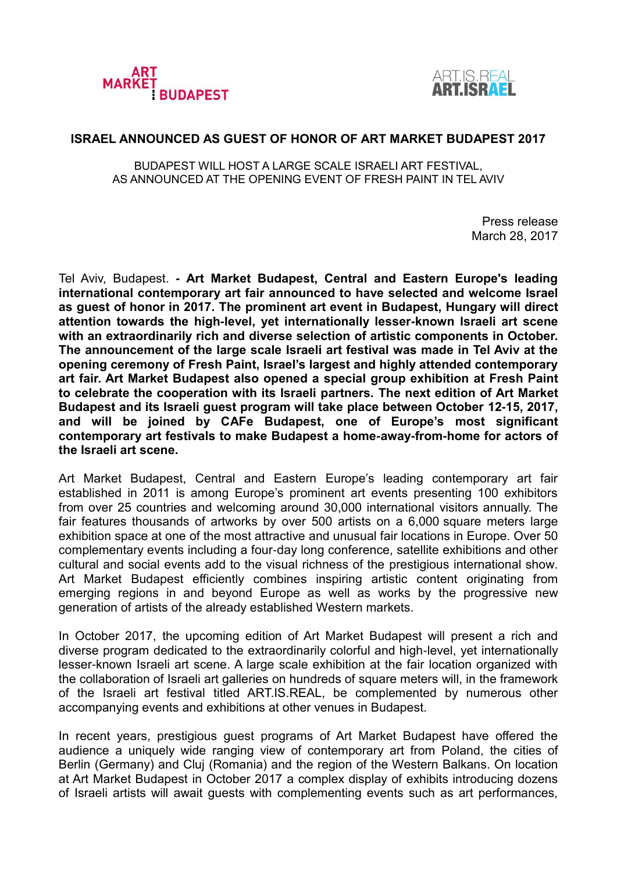



## **ISRAEL ANNOUNCED AS GUEST OF HONOR OF ART MARKET BUDAPEST 2017**

BUDAPEST WILL HOST A LARGE SCALE ISRAELI ART FESTIVAL, AS ANNOUNCED AT THE OPENING EVENT OF FRESH PAINT IN TEL AVIV

> Press release March 28, 2017

Tel Aviv, Budapest. **- Art Market Budapest, Central and Eastern Europe's leading international contemporary art fair announced to have selected and welcome Israel as guest of honor in 2017. The prominent art event in Budapest, Hungary will direct attention towards the high-level, yet internationally lesser-known Israeli art scene with an extraordinarily rich and diverse selection of artistic components in October. The announcement of the large scale Israeli art festival was made in Tel Aviv at the opening ceremony of Fresh Paint, Israel's largest and highly attended contemporary art fair. Art Market Budapest also opened a special group exhibition at Fresh Paint to celebrate the cooperation with its Israeli partners. The next edition of Art Market Budapest and its Israeli guest program will take place between October 12-15, 2017, and will be joined by CAFe Budapest, one of Europe's most significant contemporary art festivals to make Budapest a home-away-from-home for actors of the Israeli art scene.**

Art Market Budapest, Central and Eastern Europe's leading contemporary art fair established in 2011 is among Europe's prominent art events presenting 100 exhibitors from over 25 countries and welcoming around 30,000 international visitors annually. The fair features thousands of artworks by over 500 artists on a 6,000 square meters large exhibition space at one of the most attractive and unusual fair locations in Europe. Over 50 complementary events including a four-day long conference, satellite exhibitions and other cultural and social events add to the visual richness of the prestigious international show. Art Market Budapest efficiently combines inspiring artistic content originating from emerging regions in and beyond Europe as well as works by the progressive new generation of artists of the already established Western markets.

In October 2017, the upcoming edition of Art Market Budapest will present a rich and diverse program dedicated to the extraordinarily colorful and high-level, yet internationally lesser-known Israeli art scene. A large scale exhibition at the fair location organized with the collaboration of Israeli art galleries on hundreds of square meters will, in the framework of the Israeli art festival titled ART.IS.REAL, be complemented by numerous other accompanying events and exhibitions at other venues in Budapest.

In recent years, prestigious guest programs of Art Market Budapest have offered the audience a uniquely wide ranging view of contemporary art from Poland, the cities of Berlin (Germany) and Cluj (Romania) and the region of the Western Balkans. On location at Art Market Budapest in October 2017 a complex display of exhibits introducing dozens of Israeli artists will await guests with complementing events such as art performances,